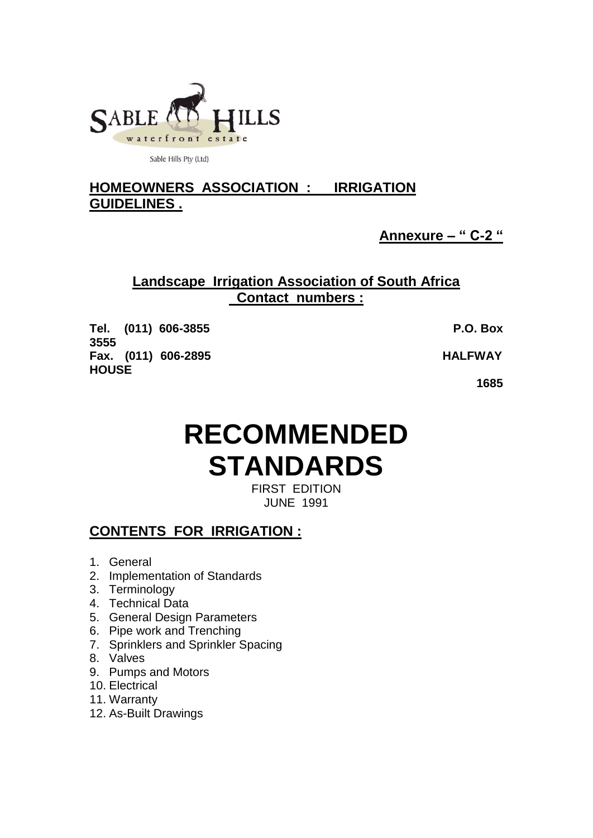

Sable Hills Pty (Ltd)

# **HOMEOWNERS ASSOCIATION : IRRIGATION GUIDELINES .**

**Annexure – " C-2 "**

## **Landscape Irrigation Association of South Africa Contact numbers :**

**Tel. (011) 606-3855 P.O. Box 3555 Fax. (011) 606-2895 HALFWAY HOUSE**

 **1685** 

# **RECOMMENDED STANDARDS**

FIRST EDITION JUNE 1991

# **CONTENTS FOR IRRIGATION :**

- 1. General
- 2. Implementation of Standards
- 3. Terminology
- 4. Technical Data
- 5. General Design Parameters
- 6. Pipe work and Trenching
- 7. Sprinklers and Sprinkler Spacing
- 8. Valves
- 9. Pumps and Motors
- 10. Electrical
- 11. Warranty
- 12. As-Built Drawings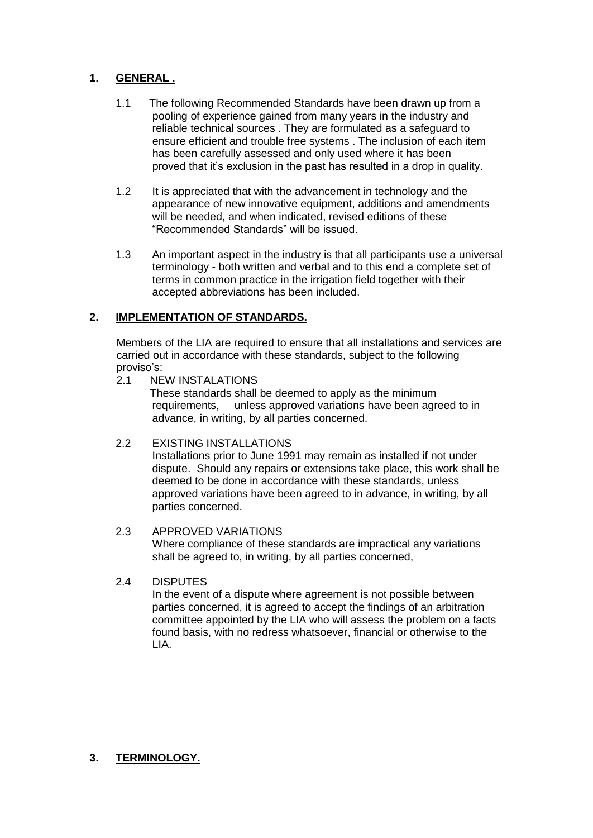## **1. GENERAL .**

- 1.1 The following Recommended Standards have been drawn up from a pooling of experience gained from many years in the industry and reliable technical sources . They are formulated as a safeguard to ensure efficient and trouble free systems . The inclusion of each item has been carefully assessed and only used where it has been proved that it's exclusion in the past has resulted in a drop in quality.
- 1.2 It is appreciated that with the advancement in technology and the appearance of new innovative equipment, additions and amendments will be needed, and when indicated, revised editions of these "Recommended Standards" will be issued.
- 1.3 An important aspect in the industry is that all participants use a universal terminology - both written and verbal and to this end a complete set of terms in common practice in the irrigation field together with their accepted abbreviations has been included.

## **2. IMPLEMENTATION OF STANDARDS.**

Members of the LIA are required to ensure that all installations and services are carried out in accordance with these standards, subject to the following proviso's:

## 2.1 NEW INSTALATIONS

 These standards shall be deemed to apply as the minimum requirements, unless approved variations have been agreed to in advance, in writing, by all parties concerned.

## 2.2 EXISTING INSTALLATIONS

Installations prior to June 1991 may remain as installed if not under dispute. Should any repairs or extensions take place, this work shall be deemed to be done in accordance with these standards, unless approved variations have been agreed to in advance, in writing, by all parties concerned.

## 2.3 APPROVED VARIATIONS

Where compliance of these standards are impractical any variations shall be agreed to, in writing, by all parties concerned,

## 2.4 DISPUTES

In the event of a dispute where agreement is not possible between parties concerned, it is agreed to accept the findings of an arbitration committee appointed by the LIA who will assess the problem on a facts found basis, with no redress whatsoever, financial or otherwise to the LIA.

## **3. TERMINOLOGY.**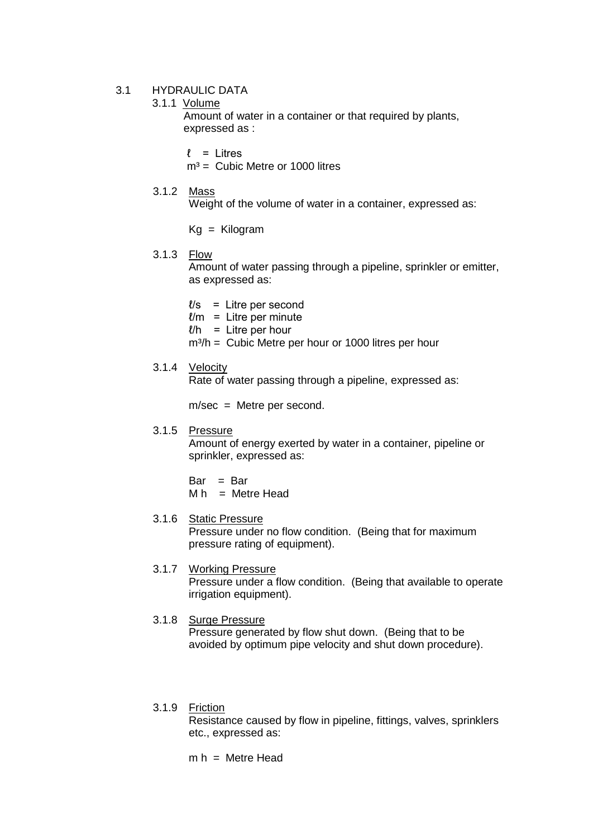### 3.1 HYDRAULIC DATA

## 3.1.1 Volume

Amount of water in a container or that required by plants, expressed as :

 $\ell$  = Litres

 $m<sup>3</sup> =$  Cubic Metre or 1000 litres

3.1.2 Mass

Weight of the volume of water in a container, expressed as:

Kg = Kilogram

#### 3.1.3 Flow

Amount of water passing through a pipeline, sprinkler or emitter, as expressed as:

- $l/s =$  Litre per second
- $l/m =$  Litre per minute
- $l/h$  = Litre per hour
- $m^3/h =$  Cubic Metre per hour or 1000 litres per hour

## 3.1.4 Velocity

Rate of water passing through a pipeline, expressed as:

m/sec = Metre per second.

## 3.1.5 Pressure

Amount of energy exerted by water in a container, pipeline or sprinkler, expressed as:

 $Bar = Bar$ 

 $M h$  = Metre Head

#### 3.1.6 Static Pressure

Pressure under no flow condition. (Being that for maximum pressure rating of equipment).

#### 3.1.7 Working Pressure

Pressure under a flow condition. (Being that available to operate irrigation equipment).

#### 3.1.8 Surge Pressure

Pressure generated by flow shut down. (Being that to be avoided by optimum pipe velocity and shut down procedure).

#### 3.1.9 Friction

Resistance caused by flow in pipeline, fittings, valves, sprinklers etc., expressed as:

 $m h =$  Metre Head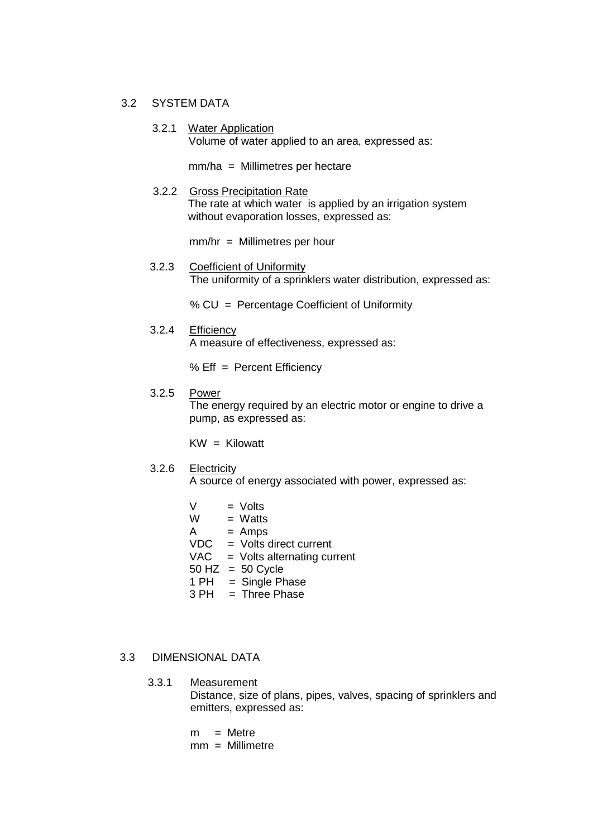#### 3.2 SYSTEM DATA

3.2.1 Water Application Volume of water applied to an area, expressed as:

mm/ha = Millimetres per hectare

 3.2.2 Gross Precipitation Rate The rate at which water is applied by an irrigation system without evaporation losses, expressed as:

mm/hr = Millimetres per hour

 3.2.3 Coefficient of Uniformity The uniformity of a sprinklers water distribution, expressed as:

% CU = Percentage Coefficient of Uniformity

3.2.4 Efficiency

A measure of effectiveness, expressed as:

% Eff = Percent Efficiency

#### 3.2.5 Power

The energy required by an electric motor or engine to drive a pump, as expressed as:

 $KW = Kilowatt$ 

3.2.6 Electricity

A source of energy associated with power, expressed as:

- $V = Volts$ <br> $W = Watts$  $=$  Watts  $A = Amps$ VDC = Volts direct current VAC = Volts alternating current  $50$  HZ =  $50$  Cycle  $1$  PH = Single Phase  $3 PH$  = Three Phase
- 3.3 DIMENSIONAL DATA

3.3.1 Measurement Distance, size of plans, pipes, valves, spacing of sprinklers and emitters, expressed as:

- $m =$  Metre
- mm = Millimetre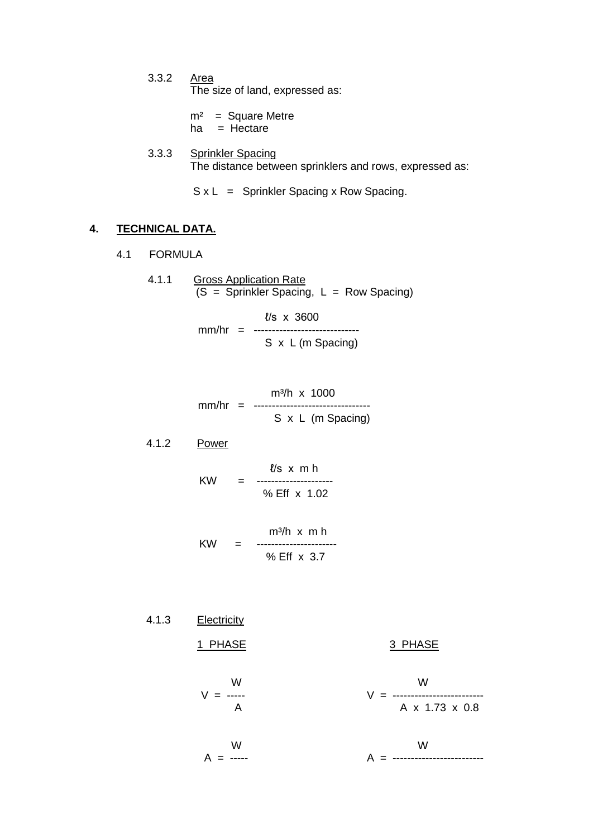3.3.2 Area The size of land, expressed as:

> $m<sup>2</sup>$  = Square Metre ha  $=$  Hectare

3.3.3 Sprinkler Spacing The distance between sprinklers and rows, expressed as:

 $S \times L$  = Sprinkler Spacing x Row Spacing.

## **4. TECHNICAL DATA.**

4.1 FORMULA

4.1.1 Gross Application Rate  $(S =$  Sprinkler Spacing,  $L =$  Row Spacing)

> ℓ/s x 3600 mm/hr = ----------------------------- S x L (m Spacing)

$$
mm/hr = \frac{m^3/h \times 1000}{S \times L \text{ (m Spacing)}}
$$

4.1.2 Power

$$
KW = 1.02
$$
\n
$$
KW = 1.02
$$
\n
$$
W = 1.02
$$

 m³/h x m h KW = ---------------------- % Eff x 3.7

4.1.3 Electricity 1 PHASE 3 PHASE W W V = ----- V = ------------------------- A A x 1.73 x 0.8 W W A = ----- A = -------------------------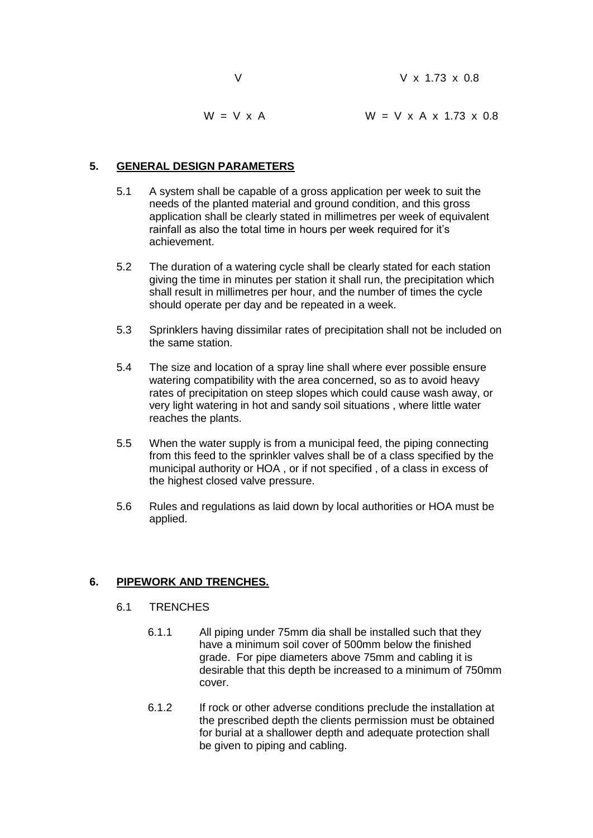|                  | $V \times 1.73 \times 0.8$              |
|------------------|-----------------------------------------|
| $W = V \times A$ | $W = V \times A \times 1.73 \times 0.8$ |

## **5. GENERAL DESIGN PARAMETERS**

- 5.1 A system shall be capable of a gross application per week to suit the needs of the planted material and ground condition, and this gross application shall be clearly stated in millimetres per week of equivalent rainfall as also the total time in hours per week required for it's achievement.
- 5.2 The duration of a watering cycle shall be clearly stated for each station giving the time in minutes per station it shall run, the precipitation which shall result in millimetres per hour, and the number of times the cycle should operate per day and be repeated in a week.
- 5.3 Sprinklers having dissimilar rates of precipitation shall not be included on the same station.
- 5.4 The size and location of a spray line shall where ever possible ensure watering compatibility with the area concerned, so as to avoid heavy rates of precipitation on steep slopes which could cause wash away, or very light watering in hot and sandy soil situations , where little water reaches the plants.
- 5.5 When the water supply is from a municipal feed, the piping connecting from this feed to the sprinkler valves shall be of a class specified by the municipal authority or HOA , or if not specified , of a class in excess of the highest closed valve pressure.
- 5.6 Rules and regulations as laid down by local authorities or HOA must be applied.

## **6. PIPEWORK AND TRENCHES.**

- 6.1 TRENCHES
	- 6.1.1 All piping under 75mm dia shall be installed such that they have a minimum soil cover of 500mm below the finished grade. For pipe diameters above 75mm and cabling it is desirable that this depth be increased to a minimum of 750mm cover.
	- 6.1.2 If rock or other adverse conditions preclude the installation at the prescribed depth the clients permission must be obtained for burial at a shallower depth and adequate protection shall be given to piping and cabling.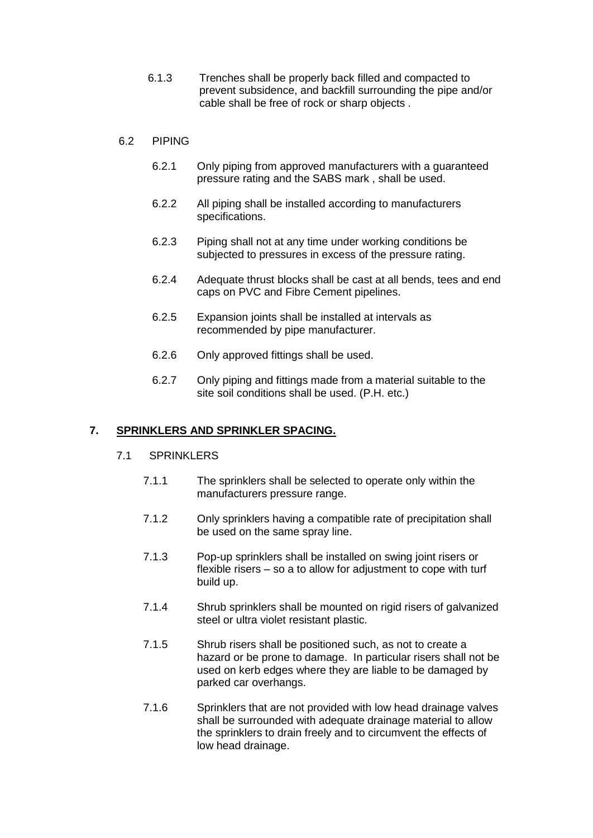6.1.3 Trenches shall be properly back filled and compacted to prevent subsidence, and backfill surrounding the pipe and/or cable shall be free of rock or sharp objects .

## 6.2 PIPING

- 6.2.1 Only piping from approved manufacturers with a guaranteed pressure rating and the SABS mark , shall be used.
- 6.2.2 All piping shall be installed according to manufacturers specifications.
- 6.2.3 Piping shall not at any time under working conditions be subjected to pressures in excess of the pressure rating.
- 6.2.4 Adequate thrust blocks shall be cast at all bends, tees and end caps on PVC and Fibre Cement pipelines.
- 6.2.5 Expansion joints shall be installed at intervals as recommended by pipe manufacturer.
- 6.2.6 Only approved fittings shall be used.
- 6.2.7 Only piping and fittings made from a material suitable to the site soil conditions shall be used. (P.H. etc.)

## **7. SPRINKLERS AND SPRINKLER SPACING.**

#### 7.1 SPRINKLERS

- 7.1.1 The sprinklers shall be selected to operate only within the manufacturers pressure range.
- 7.1.2 Only sprinklers having a compatible rate of precipitation shall be used on the same spray line.
- 7.1.3 Pop-up sprinklers shall be installed on swing joint risers or flexible risers – so a to allow for adjustment to cope with turf build up.
- 7.1.4 Shrub sprinklers shall be mounted on rigid risers of galvanized steel or ultra violet resistant plastic.
- 7.1.5 Shrub risers shall be positioned such, as not to create a hazard or be prone to damage. In particular risers shall not be used on kerb edges where they are liable to be damaged by parked car overhangs.
- 7.1.6 Sprinklers that are not provided with low head drainage valves shall be surrounded with adequate drainage material to allow the sprinklers to drain freely and to circumvent the effects of low head drainage.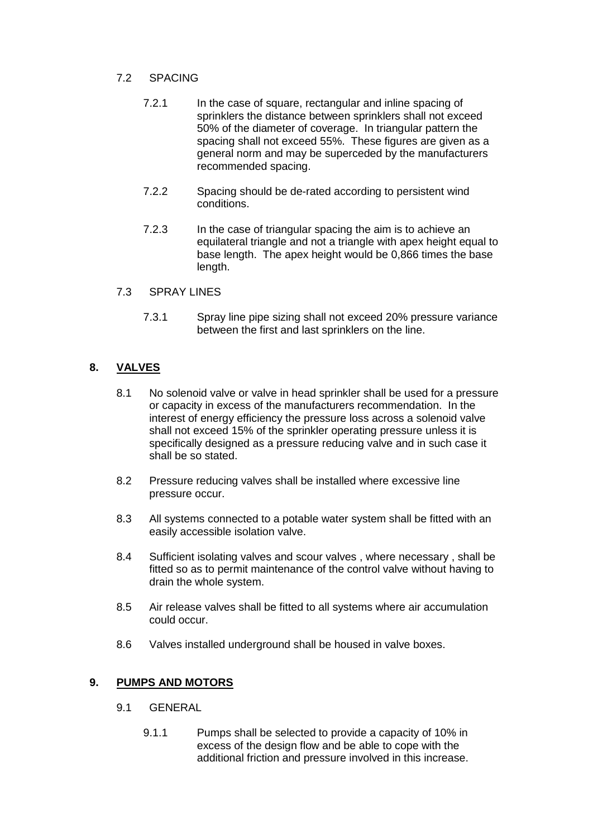## 7.2 SPACING

- 7.2.1 In the case of square, rectangular and inline spacing of sprinklers the distance between sprinklers shall not exceed 50% of the diameter of coverage. In triangular pattern the spacing shall not exceed 55%. These figures are given as a general norm and may be superceded by the manufacturers recommended spacing.
- 7.2.2 Spacing should be de-rated according to persistent wind conditions.
- 7.2.3 In the case of triangular spacing the aim is to achieve an equilateral triangle and not a triangle with apex height equal to base length. The apex height would be 0,866 times the base length.

## 7.3 SPRAY LINES

7.3.1 Spray line pipe sizing shall not exceed 20% pressure variance between the first and last sprinklers on the line.

## **8. VALVES**

- 8.1 No solenoid valve or valve in head sprinkler shall be used for a pressure or capacity in excess of the manufacturers recommendation. In the interest of energy efficiency the pressure loss across a solenoid valve shall not exceed 15% of the sprinkler operating pressure unless it is specifically designed as a pressure reducing valve and in such case it shall be so stated.
- 8.2 Pressure reducing valves shall be installed where excessive line pressure occur.
- 8.3 All systems connected to a potable water system shall be fitted with an easily accessible isolation valve.
- 8.4 Sufficient isolating valves and scour valves , where necessary , shall be fitted so as to permit maintenance of the control valve without having to drain the whole system.
- 8.5 Air release valves shall be fitted to all systems where air accumulation could occur.
- 8.6 Valves installed underground shall be housed in valve boxes.

## **9. PUMPS AND MOTORS**

- 9.1 GENERAL
	- 9.1.1 Pumps shall be selected to provide a capacity of 10% in excess of the design flow and be able to cope with the additional friction and pressure involved in this increase.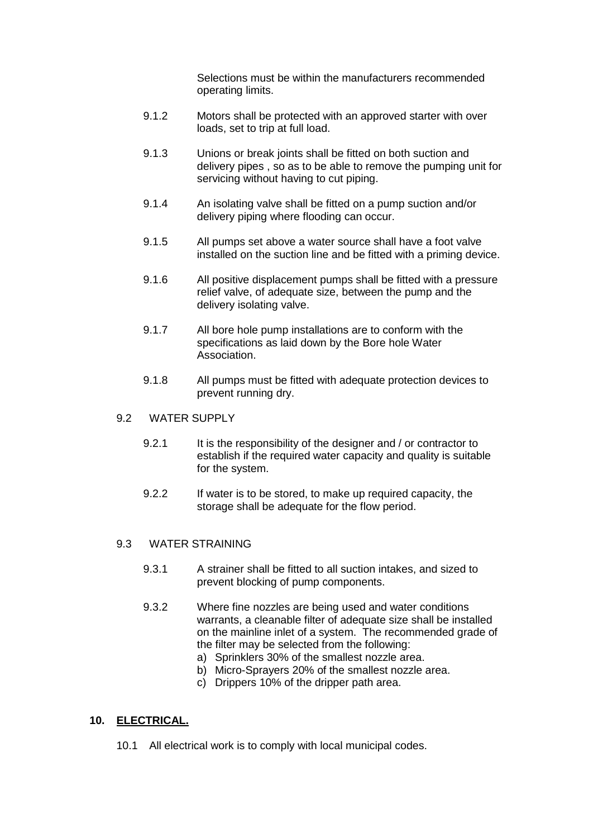Selections must be within the manufacturers recommended operating limits.

- 9.1.2 Motors shall be protected with an approved starter with over loads, set to trip at full load.
- 9.1.3 Unions or break joints shall be fitted on both suction and delivery pipes , so as to be able to remove the pumping unit for servicing without having to cut piping.
- 9.1.4 An isolating valve shall be fitted on a pump suction and/or delivery piping where flooding can occur.
- 9.1.5 All pumps set above a water source shall have a foot valve installed on the suction line and be fitted with a priming device.
- 9.1.6 All positive displacement pumps shall be fitted with a pressure relief valve, of adequate size, between the pump and the delivery isolating valve.
- 9.1.7 All bore hole pump installations are to conform with the specifications as laid down by the Bore hole Water Association.
- 9.1.8 All pumps must be fitted with adequate protection devices to prevent running dry.
- 9.2 WATER SUPPLY
	- 9.2.1 It is the responsibility of the designer and / or contractor to establish if the required water capacity and quality is suitable for the system.
	- 9.2.2 If water is to be stored, to make up required capacity, the storage shall be adequate for the flow period.

## 9.3 WATER STRAINING

- 9.3.1 A strainer shall be fitted to all suction intakes, and sized to prevent blocking of pump components.
- 9.3.2 Where fine nozzles are being used and water conditions warrants, a cleanable filter of adequate size shall be installed on the mainline inlet of a system. The recommended grade of the filter may be selected from the following:
	- a) Sprinklers 30% of the smallest nozzle area.
	- b) Micro-Sprayers 20% of the smallest nozzle area.
	- c) Drippers 10% of the dripper path area.

## **10. ELECTRICAL.**

10.1 All electrical work is to comply with local municipal codes.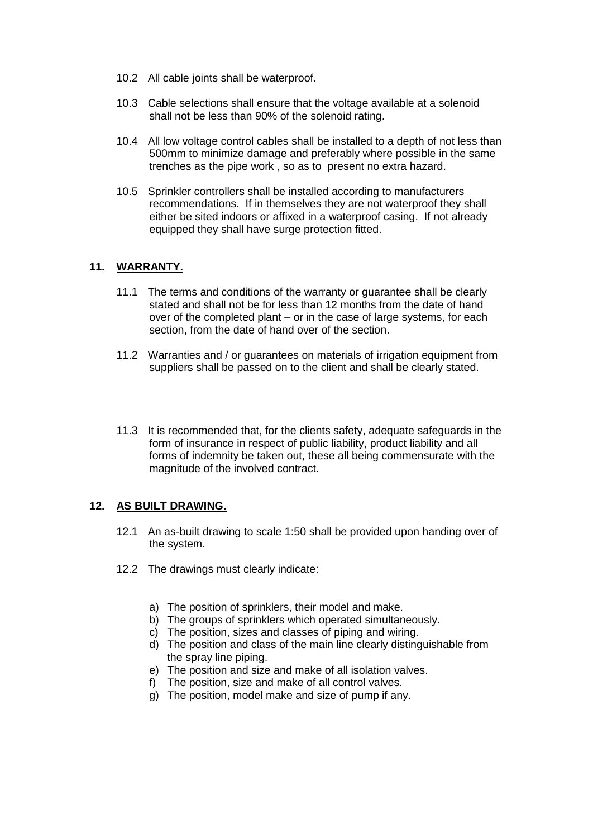- 10.2 All cable joints shall be waterproof.
- 10.3 Cable selections shall ensure that the voltage available at a solenoid shall not be less than 90% of the solenoid rating.
- 10.4 All low voltage control cables shall be installed to a depth of not less than 500mm to minimize damage and preferably where possible in the same trenches as the pipe work , so as to present no extra hazard.
- 10.5 Sprinkler controllers shall be installed according to manufacturers recommendations. If in themselves they are not waterproof they shall either be sited indoors or affixed in a waterproof casing. If not already equipped they shall have surge protection fitted.

## **11. WARRANTY.**

- 11.1 The terms and conditions of the warranty or guarantee shall be clearly stated and shall not be for less than 12 months from the date of hand over of the completed plant – or in the case of large systems, for each section, from the date of hand over of the section.
- 11.2 Warranties and / or guarantees on materials of irrigation equipment from suppliers shall be passed on to the client and shall be clearly stated.
- 11.3 It is recommended that, for the clients safety, adequate safeguards in the form of insurance in respect of public liability, product liability and all forms of indemnity be taken out, these all being commensurate with the magnitude of the involved contract.

## **12. AS BUILT DRAWING.**

- 12.1 An as-built drawing to scale 1:50 shall be provided upon handing over of the system.
- 12.2 The drawings must clearly indicate:
	- a) The position of sprinklers, their model and make.
	- b) The groups of sprinklers which operated simultaneously.
	- c) The position, sizes and classes of piping and wiring.
	- d) The position and class of the main line clearly distinguishable from the spray line piping.
	- e) The position and size and make of all isolation valves.
	- f) The position, size and make of all control valves.
	- g) The position, model make and size of pump if any.